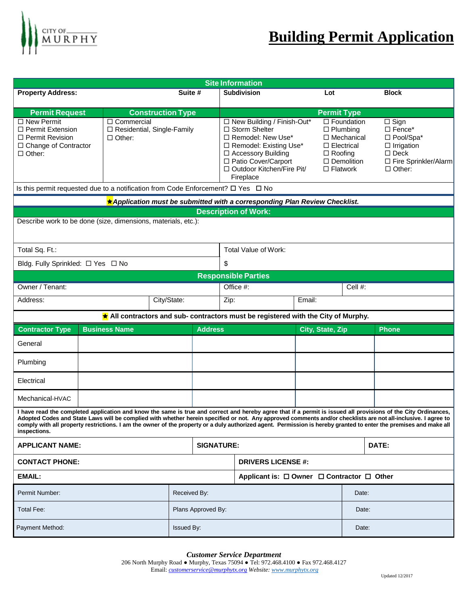

| <b>Site Information</b>                                                                                                                                                                                                                                                                                                                                                                                                                                                                                              |                                                               |                     |                                                                                                                                                                                                      |                                            |                                                        |                                                                           |                                                                                                                                             |  |
|----------------------------------------------------------------------------------------------------------------------------------------------------------------------------------------------------------------------------------------------------------------------------------------------------------------------------------------------------------------------------------------------------------------------------------------------------------------------------------------------------------------------|---------------------------------------------------------------|---------------------|------------------------------------------------------------------------------------------------------------------------------------------------------------------------------------------------------|--------------------------------------------|--------------------------------------------------------|---------------------------------------------------------------------------|---------------------------------------------------------------------------------------------------------------------------------------------|--|
| <b>Property Address:</b>                                                                                                                                                                                                                                                                                                                                                                                                                                                                                             | Suite #                                                       |                     |                                                                                                                                                                                                      | <b>Subdivision</b><br>Lot                  |                                                        |                                                                           | <b>Block</b>                                                                                                                                |  |
|                                                                                                                                                                                                                                                                                                                                                                                                                                                                                                                      | <b>Construction Type</b>                                      |                     | <b>Permit Type</b>                                                                                                                                                                                   |                                            |                                                        |                                                                           |                                                                                                                                             |  |
| <b>Permit Request</b><br>$\Box$ New Permit<br>$\Box$ Permit Extension<br>$\Box$ Permit Revision<br>$\Box$ Change of Contractor<br>$\Box$ Other:                                                                                                                                                                                                                                                                                                                                                                      | □ Commercial<br>□ Residential, Single-Family<br>$\Box$ Other: |                     | □ New Building / Finish-Out*<br>$\Box$ Storm Shelter<br>□ Remodel: New Use*<br>□ Remodel: Existing Use*<br>□ Accessory Building<br>□ Patio Cover/Carport<br>□ Outdoor Kitchen/Fire Pit/<br>Fireplace |                                            | $\Box$ Electrical<br>$\Box$ Roofing<br>$\Box$ Flatwork | $\Box$ Foundation<br>$\Box$ Plumbing<br>□ Mechanical<br>$\Box$ Demolition | $\overline{\Box}$ Sign<br>$\square$ Fence*<br>□ Pool/Spa*<br>$\Box$ Irrigation<br>$\square$ Deck<br>□ Fire Sprinkler/Alarm<br>$\Box$ Other: |  |
| Is this permit requested due to a notification from Code Enforcement? $\square$ Yes $\square$ No                                                                                                                                                                                                                                                                                                                                                                                                                     |                                                               |                     |                                                                                                                                                                                                      |                                            |                                                        |                                                                           |                                                                                                                                             |  |
| ★ Application must be submitted with a corresponding Plan Review Checklist.                                                                                                                                                                                                                                                                                                                                                                                                                                          |                                                               |                     |                                                                                                                                                                                                      |                                            |                                                        |                                                                           |                                                                                                                                             |  |
| <b>Description of Work:</b>                                                                                                                                                                                                                                                                                                                                                                                                                                                                                          |                                                               |                     |                                                                                                                                                                                                      |                                            |                                                        |                                                                           |                                                                                                                                             |  |
| Describe work to be done (size, dimensions, materials, etc.):                                                                                                                                                                                                                                                                                                                                                                                                                                                        |                                                               |                     |                                                                                                                                                                                                      |                                            |                                                        |                                                                           |                                                                                                                                             |  |
| Total Sq. Ft.:                                                                                                                                                                                                                                                                                                                                                                                                                                                                                                       |                                                               |                     | Total Value of Work:                                                                                                                                                                                 |                                            |                                                        |                                                                           |                                                                                                                                             |  |
| Bldg. Fully Sprinkled: □ Yes □ No                                                                                                                                                                                                                                                                                                                                                                                                                                                                                    |                                                               |                     | \$                                                                                                                                                                                                   |                                            |                                                        |                                                                           |                                                                                                                                             |  |
| <b>Responsible Parties</b>                                                                                                                                                                                                                                                                                                                                                                                                                                                                                           |                                                               |                     |                                                                                                                                                                                                      |                                            |                                                        |                                                                           |                                                                                                                                             |  |
| Owner / Tenant:                                                                                                                                                                                                                                                                                                                                                                                                                                                                                                      |                                                               |                     | Cell #:<br>Office #:                                                                                                                                                                                 |                                            |                                                        |                                                                           |                                                                                                                                             |  |
| Address:                                                                                                                                                                                                                                                                                                                                                                                                                                                                                                             | City/State:                                                   |                     | Zip:                                                                                                                                                                                                 |                                            | Email:                                                 |                                                                           |                                                                                                                                             |  |
| All contractors and sub- contractors must be registered with the City of Murphy.                                                                                                                                                                                                                                                                                                                                                                                                                                     |                                                               |                     |                                                                                                                                                                                                      |                                            |                                                        |                                                                           |                                                                                                                                             |  |
| <b>Contractor Type</b>                                                                                                                                                                                                                                                                                                                                                                                                                                                                                               | <b>Business Name</b>                                          |                     | <b>Address</b>                                                                                                                                                                                       |                                            | City, State, Zip                                       |                                                                           | <b>Phone</b>                                                                                                                                |  |
| General                                                                                                                                                                                                                                                                                                                                                                                                                                                                                                              |                                                               |                     |                                                                                                                                                                                                      |                                            |                                                        |                                                                           |                                                                                                                                             |  |
| Plumbing                                                                                                                                                                                                                                                                                                                                                                                                                                                                                                             |                                                               |                     |                                                                                                                                                                                                      |                                            |                                                        |                                                                           |                                                                                                                                             |  |
| Electrical                                                                                                                                                                                                                                                                                                                                                                                                                                                                                                           |                                                               |                     |                                                                                                                                                                                                      |                                            |                                                        |                                                                           |                                                                                                                                             |  |
| Mechanical-HVAC                                                                                                                                                                                                                                                                                                                                                                                                                                                                                                      |                                                               |                     |                                                                                                                                                                                                      |                                            |                                                        |                                                                           |                                                                                                                                             |  |
| I have read the completed application and know the same is true and correct and hereby agree that if a permit is issued all provisions of the City Ordinances,<br>Adopted Codes and State Laws will be complied with whether herein specified or not. Any approved comments and/or checklists are not all-inclusive. I agree to<br>comply with all property restrictions. I am the owner of the property or a duly authorized agent. Permission is hereby granted to enter the premises and make all<br>inspections. |                                                               |                     |                                                                                                                                                                                                      |                                            |                                                        |                                                                           |                                                                                                                                             |  |
| <b>APPLICANT NAME:</b>                                                                                                                                                                                                                                                                                                                                                                                                                                                                                               |                                                               |                     | <b>SIGNATURE:</b>                                                                                                                                                                                    |                                            |                                                        |                                                                           | DATE:                                                                                                                                       |  |
| <b>CONTACT PHONE:</b>                                                                                                                                                                                                                                                                                                                                                                                                                                                                                                |                                                               |                     | <b>DRIVERS LICENSE #:</b>                                                                                                                                                                            |                                            |                                                        |                                                                           |                                                                                                                                             |  |
| <b>EMAIL:</b>                                                                                                                                                                                                                                                                                                                                                                                                                                                                                                        |                                                               |                     |                                                                                                                                                                                                      | Applicant is: □ Owner □ Contractor □ Other |                                                        |                                                                           |                                                                                                                                             |  |
| Permit Number:                                                                                                                                                                                                                                                                                                                                                                                                                                                                                                       |                                                               | Received By:        |                                                                                                                                                                                                      |                                            | Date:                                                  |                                                                           |                                                                                                                                             |  |
| <b>Total Fee:</b>                                                                                                                                                                                                                                                                                                                                                                                                                                                                                                    |                                                               |                     | Plans Approved By:                                                                                                                                                                                   |                                            |                                                        | Date:                                                                     |                                                                                                                                             |  |
| Payment Method:                                                                                                                                                                                                                                                                                                                                                                                                                                                                                                      |                                                               | Issued By:<br>Date: |                                                                                                                                                                                                      |                                            |                                                        |                                                                           |                                                                                                                                             |  |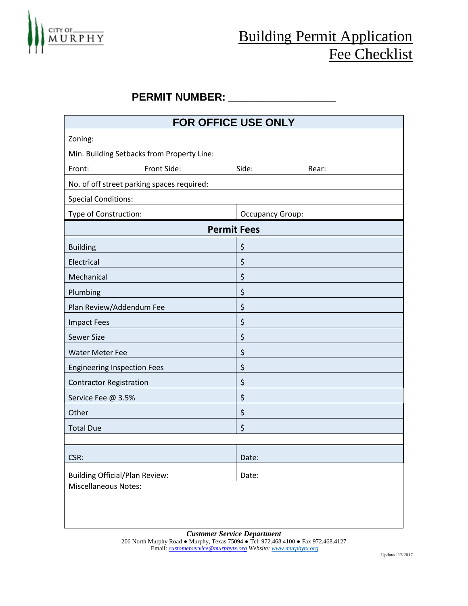

## Building Permit Application Fee Checklist

## PERMIT NUMBER: \_\_\_\_\_\_\_\_\_\_\_\_\_\_\_\_

| FOR OFFICE USE ONLY                        |                         |  |  |  |  |  |  |
|--------------------------------------------|-------------------------|--|--|--|--|--|--|
| Zoning:                                    |                         |  |  |  |  |  |  |
| Min. Building Setbacks from Property Line: |                         |  |  |  |  |  |  |
| Front:<br>Front Side:                      | Side:<br>Rear:          |  |  |  |  |  |  |
| No. of off street parking spaces required: |                         |  |  |  |  |  |  |
| <b>Special Conditions:</b>                 |                         |  |  |  |  |  |  |
| Type of Construction:                      | <b>Occupancy Group:</b> |  |  |  |  |  |  |
| <b>Permit Fees</b>                         |                         |  |  |  |  |  |  |
| <b>Building</b>                            | \$                      |  |  |  |  |  |  |
| Electrical                                 | \$                      |  |  |  |  |  |  |
| Mechanical                                 | \$                      |  |  |  |  |  |  |
| Plumbing                                   | \$                      |  |  |  |  |  |  |
| Plan Review/Addendum Fee                   | \$                      |  |  |  |  |  |  |
| <b>Impact Fees</b>                         | \$                      |  |  |  |  |  |  |
| <b>Sewer Size</b>                          | \$                      |  |  |  |  |  |  |
| <b>Water Meter Fee</b>                     | \$                      |  |  |  |  |  |  |
| <b>Engineering Inspection Fees</b>         | \$                      |  |  |  |  |  |  |
| <b>Contractor Registration</b>             | \$                      |  |  |  |  |  |  |
| Service Fee @ 3.5%                         | \$                      |  |  |  |  |  |  |
| Other                                      | \$                      |  |  |  |  |  |  |
| <b>Total Due</b>                           | \$                      |  |  |  |  |  |  |
|                                            |                         |  |  |  |  |  |  |
| CSR:                                       | Date:                   |  |  |  |  |  |  |
| <b>Building Official/Plan Review:</b>      | Date:                   |  |  |  |  |  |  |
| <b>Miscellaneous Notes:</b>                |                         |  |  |  |  |  |  |
|                                            |                         |  |  |  |  |  |  |
|                                            |                         |  |  |  |  |  |  |